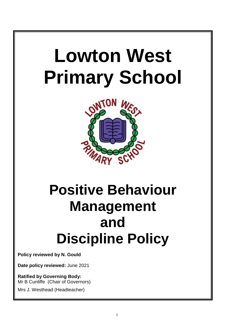

# **Positive Behaviour Management and Discipline Policy**

**Policy reviewed by N. Gould**

**Date policy reviewed:** June 2021

**Ratified by Governing Body:** Mr B Cunliffe (Chair of Governors)

Mrs J. Westhead (Headteacher)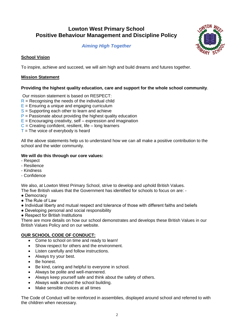## **Lowton West Primary School Positive Behaviour Management and Discipline Policy**

*Aiming High Together*



## **School Vision**

To inspire, achieve and succeed, we will aim high and build dreams and futures together.

## **Mission Statement**

## **Providing the highest quality education, care and support for the whole school community**.

Our mission statement is based on RESPECT:

- $R$  = Recognising the needs of the individual child
- $E =$  Ensuring a unique and engaging curriculum
- $S =$  Supporting each other to learn and achieve
- $P =$  Passionate about providing the highest quality education
- $E =$  Encouraging creativity, self expression and imagination
- $C =$  Creating confident, resilient, life long learners
- $T =$ The voice of everybody is heard

All the above statements help us to understand how we can all make a positive contribution to the school and the wider community.

## **We will do this through our core values:**

- Respect
- Resilience
- Kindness
- Confidence

We also, at Lowton West Primary School, strive to develop and uphold British Values. The five British values that the Government has identified for schools to focus on are: -

- Democracy
- The Rule of Law
- Individual liberty and mutual respect and tolerance of those with different faiths and beliefs
- Developing personal and social responsibility
- Respect for British Institutions

There are more details on how our school demonstrates and develops these British Values in our British Values Policy and on our website.

## **OUR SCHOOL CODE OF CONDUCT:**

- Come to school on time and ready to learn!
- Show respect for others and the environment.
- Listen carefully and follow instructions.
- Always try your best.
- Be honest.
- Be kind, caring and helpful to everyone in school.
- Always be polite and well-mannered.
- Always keep yourself safe and think about the safety of others.
- Always walk around the school building.
- Make sensible choices at all times

The Code of Conduct will be reinforced in assemblies, displayed around school and referred to with the children when necessary.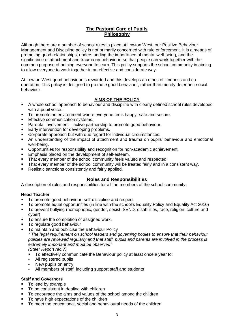## **The Pastoral Care of Pupils Philosophy**

Although there are a number of school rules in place at Lowton West, our Positive Behaviour Management and Discipline policy is not primarily concerned with rule enforcement. It is a means of promoting good relationships, understanding the importance of mental well-being, and the significance of attachment and trauma on behaviour, so that people can work together with the common purpose of helping everyone to learn. This policy supports the school community in aiming to allow everyone to work together in an effective and considerate way.

At Lowton West good behaviour is rewarded and this develops an ethos of kindness and cooperation. This policy is designed to promote good behaviour, rather than merely deter anti-social behaviour.

## **AIMS OF THE POLICY**

- A whole school approach to behaviour and discipline with clearly defined school rules developed with a pupil voice.
- To promote an environment where everyone feels happy, safe and secure.
- **Effective communication systems.**
- Parental involvement active partnership to promote good behaviour.
- Early intervention for developing problems.
- Corporate approach but with due regard for individual circumstances.
- An understanding of the impact of attachment and trauma on pupils' behaviour and emotional well-being.
- Opportunities for responsibility and recognition for non-academic achievement.
- Emphasis placed on the development of self-esteem.
- That every member of the school community feels valued and respected.
- That every member of the school community will be treated fairly and in a consistent way.
- Realistic sanctions consistently and fairly applied.

## **Roles and Responsibilities**

A description of roles and responsibilities for all the members of the school community:

## **Head Teacher**

- To promote good behaviour, self-discipline and respect
- To promote equal opportunities (in line with the school's Equality Policy and Equality Act 2010)
- To prevent bullying (homophobic, gender, sexist, SEND, disabilities, race, religion, culture and cyber)
- To ensure the completion of assigned work.
- To regulate good behaviour
- To maintain and publicise the Behaviour Policy

*" The legal requirement on school leaders and governing bodies to ensure that their behaviour policies are reviewed regularly and that staff, pupils and parents are involved in the process is extremely important and must be observed"*

*(Steer Report rec.7)*

- To effectively communicate the Behaviour policy at least once a year to:
- All registered pupils
- New pupils on entry
- All members of staff, including support staff and students

## **Staff and Governors**

- To lead by example
- To be consistent in dealing with children
- To encourage the aims and values of the school among the children
- To have high expectations of the children
- To meet the educational, social and behavioural needs of the children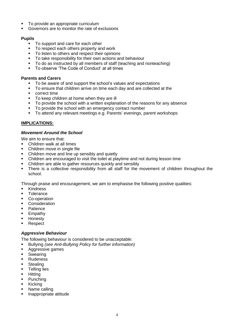- To provide an appropriate curriculum
- Governors are to monitor the rate of exclusions

## **Pupils**

- To support and care for each other
- To respect each others property and work
- To listen to others and respect their opinions
- To take responsibility for their own actions and behaviour
- To do as instructed by all members of staff (teaching and nonteaching)
- To observe 'The Code of Conduct' at all times

## **Parents and Carers**

- To be aware of and support the school's values and expectations
- To ensure that children arrive on time each day and are collected at the
- **•** correct time
- To keep children at home when they are ill
- To provide the school with a written explanation of the reasons for any absence
- To provide the school with an emergency contact number
- To attend any relevant meetings e.g. Parents' evenings, parent workshops

## **IMPLICATIONS:**

## *Movement Around the School*

We aim to ensure that:

- Children walk at all times
- Children move in single file
- Children move and line up sensibly and quietly
- Children are encouraged to visit the toilet at playtime and not during lesson time
- Children are able to gather resources quickly and sensibly
- There is a collective responsibility from all staff for the movement of children throughout the school.

Through praise and encouragement, we aim to emphasise the following positive qualities:

- **Kindness**
- **Tolerance**
- Co-operation
- **•** Consideration
- **Patience**
- **Empathy**
- Honesty
- **Respect**

## *Aggressive Behaviour*

The following behaviour is considered to be unacceptable:

- Bullying *(see Anti-Bullying Policy for further information)*
- **Aggressive games**
- **Swearing**
- **Rudeness**
- **Stealing**
- Telling lies
- **-** Hitting
- Punching
- **Kicking**
- Name calling
- **Inappropriate attitude**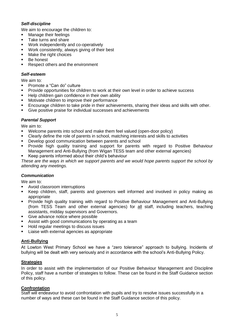## *Self-discipline*

We aim to encourage the children to:

- **Nanage their feelings**
- **Take turns and share**
- **Work independently and co-operatively**
- Work consistently, always giving of their best
- **Make the right choices**
- Be honest
- Respect others and the environment

## *Self-esteem*

We aim to:

- Promote a "Can do" culture
- Provide opportunities for children to work at their own level in order to achieve success
- Help children gain confidence in their own ability
- Motivate children to improve their performance
- Encourage children to take pride in their achievements, sharing their ideas and skills with other.
- Give positive praise for individual successes and achievements

## *Parental Support*

We aim to:

- Welcome parents into school and make them feel valued (open-door policy)
- Clearly define the role of parents in school, matching interests and skills to activities
- Develop good communication between parents and school
- Provide high quality training and support for parents with regard to Positive Behaviour Management and Anti-Bullying (from Wigan TESS team and other external agencies)
- Keep parents informed about their child's behaviour

*These are the ways in which we support parents and we would hope parents support the school by attending any meetings.*

## *Communication*

We aim to:

- Avoid classroom interruptions
- Keep children, staff, parents and governors well informed and involved in policy making as appropriate
- Provide high quality training with regard to Positive Behaviour Management and Anti-Bullying (from TESS Team and other external agencies) for all staff, including teachers, teaching assistants, midday supervisors and Governors.
- Give advance notice where possible
- Assist with good communications by operating as a team
- Hold regular meetings to discuss issues
- Liaise with external agencies as appropriate

## **Anti-Bullying**

At Lowton West Primary School we have a "zero tolerance" approach to bullying. Incidents of bullying will be dealt with very seriously and in accordance with the school's Anti-Bullying Policy.

## **Strategies**

In order to assist with the implementation of our Positive Behaviour Management and Discipline Policy, staff have a number of strategies to follow. These can be found in the Staff Guidance section of this policy.

## **Confrontation**

Staff will endeavour to avoid confrontation with pupils and try to resolve issues successfully in a number of ways and these can be found in the Staff Guidance section of this policy.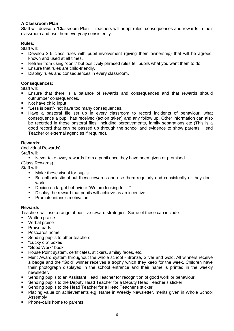## **A Classroom Plan**

Staff will devise a "Classroom Plan" – teachers will adopt rules, consequences and rewards in their classroom and use them everyday consistently.

## **Rules:**

Staff will:

- Develop 3-5 class rules with pupil involvement (giving them ownership) that will be agreed, known and used at all times.
- Refrain from using "don't" but positively phrased rules tell pupils what you want them to do.
- Ensure that rules are child-friendly.
- Display rules and consequences in every classroom.

## **Consequences:**

Staff will:

- Ensure that there is a balance of rewards and consequences and that rewards should outnumber consequences.
- Not have child input.
- "Less is best"- not have too many consequences.
- Have a pastoral file set up in every classroom to record incidents of behaviour, what consequence a pupil has received (action taken) and any follow up. Other information can also be recorded in these pastoral files, including bereavements, family separations etc (This is a good record that can be passed up through the school and evidence to show parents, Head Teacher or external agencies if required).

## **Rewards:**

#### (Individual Rewards)

Staff will:

Never take away rewards from a pupil once they have been given or promised.

(Class Rewards)

Staff will:

- Make these visual for pupils
- Be enthusiastic about these rewards and use them regularly and consistently or they don't work!
- Decide on target behaviour "We are looking for..."
- Display the reward that pupils will achieve as an incentive
- **Promote intrinsic motivation**

## **Rewards**

Teachers will use a range of positive reward strategies. Some of these can include:

- Written praise
- Verbal praise
- Praise pads
- Postcards home
- **Sending pupils to other teachers**
- **E** "Lucky dip" boxes
- "Good Work" book
- **House Point system, certificates, stickers, smiley faces, etc.**
- Merit Award system throughout the whole school Bronze, Silver and Gold. All winners receive a badge and the "Gold" winner receives a trophy which they keep for the week. Children have their photograph displayed in the school entrance and their name is printed in the weekly newsletter.
- Sending pupils to an Assistant Head Teacher for recognition of good work or behaviour.
- Sending pupils to the Deputy Head Teacher for a Deputy Head Teacher's sticker
- Sending pupils to the Head Teacher for a Head Teacher's sticker
- Placing value on achievements e.g. Name in Weekly Newsletter, merits given in Whole School Assembly
- Phone-calls home to parents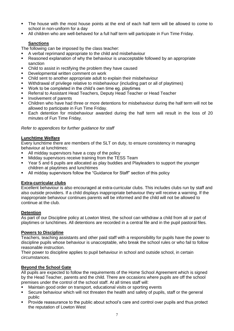- The house with the most house points at the end of each half term will be allowed to come to school in non-uniform for a day
- All children who are well-behaved for a full half term will participate in Fun Time Friday.

## **Sanctions**

The following can be imposed by the class teacher:

- A verbal reprimand appropriate to the child and misbehaviour
- Reasoned explanation of why the behaviour is unacceptable followed by an appropriate sanction
- Child to assist in rectifying the problem they have caused
- **Developmental written comment on work**
- Child sent to another appropriate adult to explain their misbehaviour
- Withdrawal of privilege relative to misbehaviour (including part or all of playtimes)
- Work to be completed in the child's own time eg. playtimes
- Referral to Assistant Head Teachers, Deputy Head Teacher or Head Teacher
- Involvement of parents
- Children who have had three or more detentions for misbehaviour during the half term will not be allowed to participate in Fun Time Friday.
- Each detention for misbehaviour awarded during the half term will result in the loss of 20 minutes of Fun Time Friday.

## *Refer to appendices for further guidance for staff*

## **Lunchtime Welfare**

Every lunchtime there are members of the SLT on duty, to ensure consistency in managing behaviour at lunchtimes:

- All midday supervisors have a copy of the policy
- Midday supervisors receive training from the TESS Team
- Year 5 and 6 pupils are allocated as play buddies and Playleaders to support the younger children at playtimes and lunchtimes
- All midday supervisors follow the "Guidance for Staff" section of this policy

## **Extra-curricular clubs**

Excellent behaviour is also encouraged at extra-curricular clubs. This includes clubs run by staff and also outside providers. If a child displays inappropriate behaviour they will receive a warning. If the inappropriate behaviour continues parents will be informed and the child will not be allowed to continue at the club.

## **Detention**

As part of our Discipline policy at Lowton West, the school can withdraw a child from all or part of playtimes or lunchtimes. All detentions are recorded in a central file and in the pupil pastoral files.

## **Powers to Discipline**

Teachers, teaching assistants and other paid staff with a responsibility for pupils have the power to discipline pupils whose behaviour is unacceptable, who break the school rules or who fail to follow reasonable instruction.

Their power to discipline applies to pupil behaviour in school and outside school, in certain circumstances.

## **Beyond the School Gate**

All pupils are expected to follow the requirements of the Home School Agreement which is signed by the Head Teacher, parents and the child. There are occasions where pupils are off the school premises under the control of the school staff. At all times staff will:

- Maintain good order on transport, educational visits or sporting events
- Secure behaviour which will not threaten the health and safety of pupils, staff or the general public
- Provide reassurance to the public about school's care and control over pupils and thus protect the reputation of Lowton West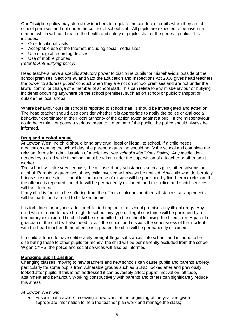Our Discipline policy may also allow teachers to regulate the conduct of pupils when they are off school premises and not under the control of school staff. All pupils are expected to behave in a manner which will not threaten the health and safety of pupils, staff or the general public. This includes:

- On educational visits
- Acceptable use of the Internet, including social media sites
- **Use of digital recording devices**
- Use of mobile phones

*(refer to Anti-Bullying policy)*

Head teachers have a specific statutory power to discipline pupils for misbehaviour outside of the school premises. Sections 90 and 91of the Education and Inspections Act 2006 gives head teachers the power to address pupils' conduct when they are not on school premises and are not under the lawful control or charge of a member of school staff. This can relate to any misbehaviour or bullying incidents occurring anywhere off the school premises, such as on school or public transport or outside the local shops.

Where behaviour outside school is reported to school staff, it should be investigated and acted on. The head teacher should also consider whether it is appropriate to notify the police or anti-social behaviour coordinator in their local authority of the action taken against a pupil. If the misbehaviour could be criminal or poses a serious threat to a member of the public, the police should always be informed.

## **Drug and Alcohol Abuse**

At Lowton West, no child should bring any drug, legal or illegal, to school. If a child needs medication during the school day, the parent or guardian should notify the school and complete the relevant forms for administration of medicines *(see school's Medicines Policy)*. Any medication needed by a child while in school must be taken under the supervision of a teacher or other adult worker.

The school will take very seriously the misuse of any substances such as glue, other solvents or alcohol. Parents or guardians of any child involved will always be notified. Any child who deliberately brings substances into school for the purpose of misuse will be punished by fixed-term exclusion. If the offence is repeated, the child will be permanently excluded, and the police and social services will be informed.

If any child is found to be suffering from the effects of alcohol or other substances, arrangements will be made for that child to be taken home.

It is forbidden for anyone, adult or child, to bring onto the school premises any illegal drugs. Any child who is found to have brought to school any type of illegal substance will be punished by a temporary exclusion. The child will be re-admitted to the school following the fixed term. A parent or guardian of the child will also need to visit the school and discuss the seriousness of the incident with the head teacher. If the offence is repeated the child will be permanently excluded.

If a child is found to have deliberately brought illegal substances into school, and is found to be distributing these to other pupils for money, the child will be permanently excluded from the school. Wigan CYPS, the police and social services will also be informed.

## **Managing pupil transition**

Changing classes, moving to new teachers and new schools can cause pupils and parents anxiety, particularly for some pupils from vulnerable groups such as SEND, looked after and previously looked after pupils. If this is not addressed it can adversely affect pupils' motivation, attitude, attainment and behaviour. Working constructively with parents and others can significantly reduce this stress.

At Lowton West we:

 Ensure that teachers receiving a new class at the beginning of the year are given appropriate information to help the teacher plan work and manage the class;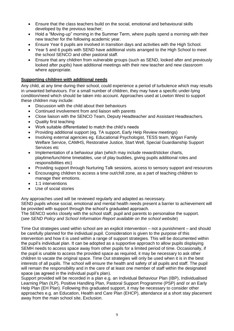- Ensure that the class teachers build on the social, emotional and behavioural skills developed by the previous teacher;
- Hold a "Moving-up" morning in the Summer Term, where pupils spend a morning with their new teacher for the following academic year.
- Ensure Year 6 pupils are involved in transition days and activities with the High School.
- Year 5 and 6 pupils with SEND have additional visits arranged to the High School to meet the school SENCO and other pastoral staff.
- Ensure that any children from vulnerable groups (such as SEND, looked after and previously looked after pupils) have additional meetings with their new teacher and new classroom where appropriate.

## **Supporting children with additional needs**

Any child, at any time during their school, could experience a period of turbulence which may results in unwanted behaviours. For a small number of children, they may have a specific under-lying condition/need which should be taken into account. Approaches used at Lowton West to support these children may include:

- Discussion with the child about their behaviours
- Continued involvement from and liaison with parents
- Close liaison with the SENCO Team, Deputy Headteacher and Assistant Headteachers.
- Quality first teaching
- Work suitable differentiated to match the child's needs
- Providing additional support (eg. TA support, Early Help Review meetings)
- Involving external agencies eg. Educational Psychologist, TESS team, Wigan Family Welfare Service, CAMHS, Restorative Justice, Start Well, Special Guardianship Support Services etc
- Implementation of a behaviour plan (which may include reward/sticker charts, playtime/lunchtime timetables, use of play buddies, giving pupils additional roles and responsibilities etc)
- Providing support through Nurturing Talk sessions, access to sensory support and resources
- Encouraging children to access a time out/chill zone, as a part of teaching children to manage their emotions.
- 1:1 interventions
- Use of social stories

Any approaches used will be reviewed regularly and adapted as necessary.

SEND pupils whose social, emotional and mental health needs present a barrier to achievement will be provided with support through the school's graduated approach.

The SENCO works closely with the school staff, pupil and parents to personalise the support. (*see SEND Policy and School Information Report available on the school website*)

Time Out strategies used within school are an explicit intervention – not a punishment – and should be carefully planned for the individual pupil. Consideration is given to the purpose of this intervention and how it is used within a range of support strategies. This will be documented within the pupil's individual plan. It can be adopted as a supportive approach to allow pupils displaying SEMH needs to access space away from other pupils for a limited period of time. Occasionally, if the pupil is unable to access the provided space as required, it may be necessary to ask other children to vacate the original space. Time Out strategies will only be used when it is in the best interests of all pupils. The school will ensure the health and safety of all pupils and staff. The pupil will remain the responsibility and in the care of at least one member of staff within the designated space (as agreed in the individual pupil's plan).

Support provided will be recorded in a plan e.g. an Individual Behaviour Plan (IBP), Individualised Learning Plan (ILP), Positive Handling Plan, Pastoral Support Programme (PSP) and/ or an Early Help Plan (EH Plan). Following this graduated support, it may be necessary to consider other approaches e.g. an Education, Health and Care Plan (EHCP), attendance at a short stay placement away from the main school site, Exclusion.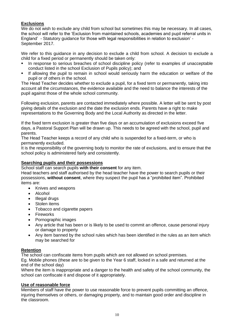## **Exclusions**

We do not wish to exclude any child from school but sometimes this may be necessary. In all cases, the school will refer to the 'Exclusion from maintained schools, academies and pupil referral units in England' - Statutory guidance for those with legal responsibilities in relation to exclusion' - September 2017.

We refer to this guidance in any decision to exclude a child from school. A decision to exclude a child for a fixed period or permanently should be taken only:

- In response to serious breaches of school discipline policy (refer to examples of unacceptable conduct listed in the school Exclusion of Pupils policy); and
- If allowing the pupil to remain in school would seriously harm the education or welfare of the pupil or of others in the school.

The Head Teacher decides whether to exclude a pupil, for a fixed term or permanently, taking into account all the circumstances, the evidence available and the need to balance the interests of the pupil against those of the whole school community.

Following exclusion, parents are contacted immediately where possible. A letter will be sent by post giving details of the exclusion and the date the exclusion ends. Parents have a right to make representations to the Governing Body and the Local Authority as directed in the letter.

If the fixed term exclusion is greater than five days or an accumulation of exclusions exceed five days, a Pastoral Support Plan will be drawn up. This needs to be agreed with the school, pupil and parents.

The Head Teacher keeps a record of any child who is suspended for a fixed-term, or who is permanently excluded.

It is the responsibility of the governing body to monitor the rate of exclusions, and to ensure that the school policy is administered fairly and consistently.

## **Searching pupils and their possessions**

School staff can search pupils **with their consent** for any item.

Head teachers and staff authorised by the head teacher have the power to search pupils or their possessions, **without consent**, where they suspect the pupil has a "prohibited item". Prohibited items are:

- Knives and weapons
- Alcohol
- Illegal drugs
- Stolen items
- Tobacco and cigarette papers
- Fireworks
- Pornographic images
- Any article that has been or is likely to be used to commit an offence, cause personal injury or damage to property
- Any item banned by the school rules which has been identified in the rules as an item which may be searched for

## **Retention**

The school can confiscate items from pupils which are not allowed on school premises.

Eg. Mobile phones (these are to be given to the Year 6 staff, locked in a safe and returned at the end of the school day)

Where the item is inappropriate and a danger to the health and safety of the school community, the school can confiscate it and dispose of it appropriately.

## **Use of reasonable force**

Members of staff have the power to use reasonable force to prevent pupils committing an offence, injuring themselves or others, or damaging property, and to maintain good order and discipline in the classroom.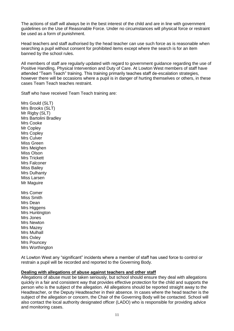The actions of staff will always be in the best interest of the child and are in line with government guidelines on the Use of Reasonable Force. Under no circumstances will physical force or restraint be used as a form of punishment.

Head teachers and staff authorised by the head teacher can use such force as is reasonable when searching a pupil without consent for prohibited items except where the search is for an item banned by the school rules.

All members of staff are regularly updated with regard to government guidance regarding the use of Positive Handling, Physical Intervention and Duty of Care. At Lowton West members of staff have attended "Team Teach" training. This training primarily teaches staff de-escalation strategies, however there will be occasions where a pupil is in danger of hurting themselves or others, in these cases Team Teach teaches restraint.

Staff who have received Team Teach training are:

Mrs Gould (SLT) Mrs Brooks (SLT) Mr Rigby (SLT) Mrs Bartolini Bradley Mrs Cooke Mr Copley Mrs Copley Mrs Culver Miss Green Mrs Meighen Miss Olson Mrs Trickett Mrs Falconer Miss Bailey Mrs Dulhanty Miss Larsen Mr Maguire Mrs Comer Miss Smith Mrs Dean Mrs Higgens Mrs Huntington Mrs Jones Mrs Newton Mrs Mazey Mrs Mulhall Mrs Oxley Mrs Pouncey

Mrs Worthington

At Lowton West any "significant" incidents where a member of staff has used force to control or restrain a pupil will be recorded and reported to the Governing Body.

## **Dealing with allegations of abuse against teachers and other staff**

Allegations of abuse must be taken seriously, but school should ensure they deal with allegations quickly in a fair and consistent way that provides effective protection for the child and supports the person who is the subject of the allegation. All allegations should be reported straight away to the Headteacher, or the Deputy Headteacher in their absence. In cases where the head teacher is the subject of the allegation or concern, the Chair of the Governing Body will be contacted. School will also contact the local authority designated officer (LADO) who is responsible for providing advice and monitoring cases.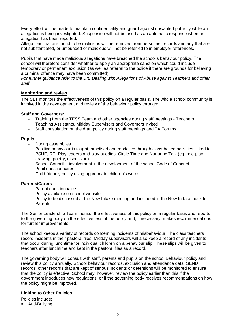Every effort will be made to maintain confidentiality and guard against unwanted publicity while an allegation is being investigated. Suspension will not be used as an automatic response when an allegation has been reported.

Allegations that are found to be malicious will be removed from personnel records and any that are not substantiated, or unfounded or malicious will not be referred to in employer references.

Pupils that have made malicious allegations have breached the school's behaviour policy. The school will therefore consider whether to apply an appropriate sanction which could include temporary or permanent exclusion (as well as referral to the police if there are grounds for believing a criminal offence may have been committed).

*For further guidance refer to the DfE Dealing with Allegations of Abuse against Teachers and other staff.* 

## **Monitoring and review**

The SLT monitors the effectiveness of this policy on a regular basis. The whole school community is involved in the development and review of the behaviour policy through:

#### **Staff and Governors:**

- Training from the TESS Team and other agencies during staff meetings Teachers, Teaching Assistants, Midday Supervisors and Governors invited
- Staff consultation on the draft policy during staff meetings and TA Forums.

#### **Pupils**

- During assemblies
- Positive behaviour is taught, practised and modelled through class-based activities linked to PSHE, RE, Play leaders and play buddies, Circle Time and Nurturing Talk (eg. role-play, drawing, poetry, discussion)
- School Council involvement in the development of the school Code of Conduct
- Pupil questionnaires
- Child-friendly policy using appropriate children's words.

#### **Parents/Carers**

- Parent questionnaires
- Policy available on school website
- Policy to be discussed at the New Intake meeting and included in the New In-take pack for Parents

The Senior Leadership Team monitor the effectiveness of this policy on a regular basis and reports to the governing body on the effectiveness of the policy and, if necessary, makes recommendations for further improvements.

The school keeps a variety of records concerning incidents of misbehaviour. The class teachers record incidents in their pastoral files. Midday supervisors will also keep a record of any incidents that occur during lunchtime for individual children on a behaviour slip. These slips will be given to teachers after lunchtime and kept in the pastoral files as a record.

The governing body will consult with staff, parents and pupils on the school Behaviour policy and review this policy annually. School behaviour records, exclusion and attendance data, SEND records, other records that are kept of serious incidents or detentions will be monitored to ensure that the policy is effective. School may, however, review the policy earlier than this if the government introduces new regulations, or if the governing body receives recommendations on how the policy might be improved.

## **Linking to Other Policies**

Policies include:

**-** Anti-Bullying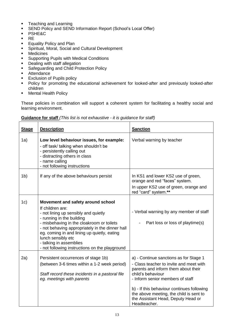- **Teaching and Learning**
- SEND Policy and SEND Information Report (School's Local Offer)
- PSHE&C
- $R$
- **Equality Policy and Plan**
- **Spiritual, Moral, Social and Cultural Development**
- **•** Medicines
- **Supporting Pupils with Medical Conditions**
- **Dealing with staff allegation**
- **Safeguarding and Child Protection Policy**
- **Attendance**
- **Exclusion of Pupils policy**
- **Policy for promoting the educational achievement for looked-after and previously looked-after** children
- **•** Mental Health Policy

These policies in combination will support a coherent system for facilitating a healthy social and learning environment.

| <b>Stage</b>   | <b>Description</b>                                                                                                                                                                                                                                                                                                                                                           | <b>Sanction</b>                                                                                                                                                                                                                                                                                                                  |
|----------------|------------------------------------------------------------------------------------------------------------------------------------------------------------------------------------------------------------------------------------------------------------------------------------------------------------------------------------------------------------------------------|----------------------------------------------------------------------------------------------------------------------------------------------------------------------------------------------------------------------------------------------------------------------------------------------------------------------------------|
| 1a)            | Low level behaviour issues, for example:<br>- off task/ talking when shouldn't be<br>- persistently calling out<br>- distracting others in class<br>- name calling<br>- not following instructions                                                                                                                                                                           | Verbal warning by teacher                                                                                                                                                                                                                                                                                                        |
| 1 <sub>b</sub> | If any of the above behaviours persist                                                                                                                                                                                                                                                                                                                                       | In KS1 and lower KS2 use of green,<br>orange and red "faces" system.<br>In upper KS2 use of green, orange and<br>red "card" system.**                                                                                                                                                                                            |
| 1c)            | Movement and safety around school<br>If children are:<br>- not lining up sensibly and quietly<br>- running in the building<br>- misbehaving in the cloakroom or toilets<br>- not behaving appropriately in the dinner hall<br>eg. coming in and lining up quietly, eating<br>lunch sensibly etc<br>- talking in assemblies<br>- not following instructions on the playground | - Verbal warning by any member of staff<br>Part loss or loss of playtime(s)                                                                                                                                                                                                                                                      |
| 2a)            | Persistent occurrences of stage 1b)<br>(between 3-6 times within a 1-2 week period)<br>Staff record these incidents in a pastoral file<br>eg. meetings with parents                                                                                                                                                                                                          | a) - Continue sanctions as for Stage 1<br>- Class teacher to invite and meet with<br>parents and inform them about their<br>child's behaviour<br>- Inform senior members of staff<br>b) - If this behaviour continues following<br>the above meeting, the child is sent to<br>the Assistant Head, Deputy Head or<br>Headteacher. |

#### **Guidance for staff** *(This list is not exhaustive - it is guidance for staff)*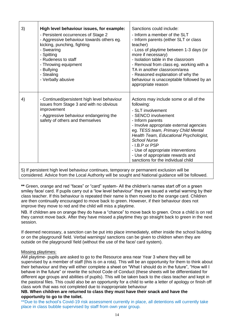| 3) | High level behaviour issues, for example:<br>- Persistent occurrences of Stage 2<br>- Aggressive behaviour towards others eg.<br>kicking, punching, fighting<br>- Swearing<br>- Spitting<br>- Rudeness to staff<br>- Throwing equipment<br>- Bullying<br>- Stealing<br>- Verbally abusive | Sanctions could include:<br>- Inform a member of the SLT<br>- Inform parents (either SLT or class<br>teacher)<br>- Loss of playtime between 1-3 days (or<br>more if necessary)<br>- Isolation table in the classroom<br>- Removal from class eg. working with a<br>TA in another classroom/area<br>- Reasoned explanation of why the<br>behaviour is unacceptable followed by an<br>appropriate reason    |
|----|-------------------------------------------------------------------------------------------------------------------------------------------------------------------------------------------------------------------------------------------------------------------------------------------|-----------------------------------------------------------------------------------------------------------------------------------------------------------------------------------------------------------------------------------------------------------------------------------------------------------------------------------------------------------------------------------------------------------|
| 4) | - Continued/persistent high level behaviour<br>issues from Stage 3 and with no obvious<br>improvement<br>- Aggressive behaviour endangering the<br>safety of others and themselves                                                                                                        | Actions may include some or all of the<br>following:<br>- SLT involvement<br>- SENCO involvement<br>- Inform parents<br>- Involve appropriate external agencies<br>eg. TESS team, Primary Child Mental<br>Health Team, Educational Psychologist,<br><b>School Nurse</b><br>- I.B.P or PSP<br>- Use of appropriate interventions<br>- Use of appropriate rewards and<br>sanctions for the individual child |

5) If persistent high level behaviour continues, temporary or permanent exclusion will be considered. Advice from the Local Authority will be sought and National guidance will be followed.

**\*\*** Green, orange and red "faces" or "card" system- All the children's names start off on a green smiley face/ card. If pupils carry out a "low level behaviour" they are issued a verbal warning by their class teacher. If this behaviour is repeated their name is then moved to the orange card. Children are then continually encouraged to move back to green. However, if their behaviour does not improve they move to red and the child will miss a playtime.

NB. If children are on orange they do have a "chance" to move back to green. Once a child is on red they cannot move back. After they have missed a playtime they go straight back to green in the next session.

If deemed necessary, a sanction can be put into place immediately, either inside the school building or on the playground/ field. Verbal warnings/ sanctions can be given to children when they are outside on the playground/ field (without the use of the face/ card system).

## Missing playtimes:

AM playtime- pupils are asked to go to the Resource area near Year 3 where they will be supervised by a member of staff (this is on a rota). This will be an opportunity for them to think about their behaviour and they will either complete a sheet on "What I should do in the future", "How will I behave in the future" or rewrite the school Code of Conduct (these sheets will be differentiated for different age groups and abilities of pupils). This will be taken back to the class teacher and kept in the pastoral files. This could also be an opportunity for a child to write a letter of apology or finish off class work that was not completed due to inappropriate behaviour

## **NB. When children are returned to class they must have their snack and have the opportunity to go to the toilet.**

\*\*Due to the school's Covid-19 risk assessment currently in place, all detentions will currently take place in class bubble supervised by staff from own year group.